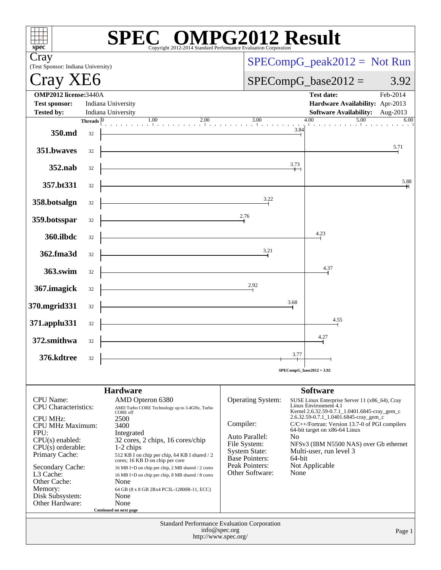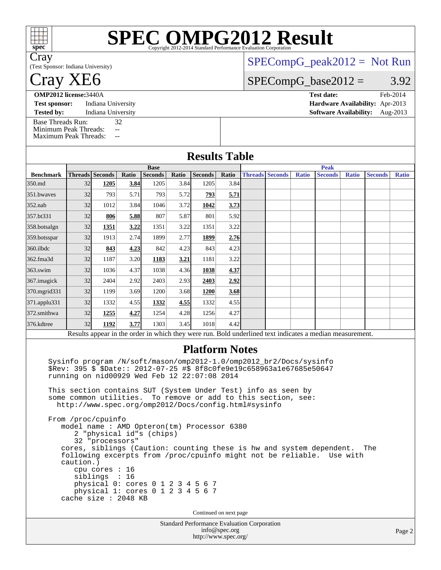| spec <sup>®</sup>                                                                 |                                 |                                                    |                          |                          |               | SPECOMPG2012 Mandard Performance Evaluation Corporation                                                                                                                                                                                                                                                                                                                                                                                                                                                                                  |                       |                        |  |              |                                                                                                                                                   |              |                |              |  |  |
|-----------------------------------------------------------------------------------|---------------------------------|----------------------------------------------------|--------------------------|--------------------------|---------------|------------------------------------------------------------------------------------------------------------------------------------------------------------------------------------------------------------------------------------------------------------------------------------------------------------------------------------------------------------------------------------------------------------------------------------------------------------------------------------------------------------------------------------------|-----------------------|------------------------|--|--------------|---------------------------------------------------------------------------------------------------------------------------------------------------|--------------|----------------|--------------|--|--|
| Cray<br>(Test Sponsor: Indiana University)                                        |                                 |                                                    |                          |                          |               |                                                                                                                                                                                                                                                                                                                                                                                                                                                                                                                                          |                       |                        |  |              | $SPECompG_peak2012 = Not Run$                                                                                                                     |              |                |              |  |  |
| <b>Cray XE6</b>                                                                   |                                 |                                                    |                          |                          |               |                                                                                                                                                                                                                                                                                                                                                                                                                                                                                                                                          | $SPECompG_base2012 =$ |                        |  | 3.92         |                                                                                                                                                   |              |                |              |  |  |
| <b>OMP2012 license:3440A</b>                                                      |                                 |                                                    |                          |                          |               |                                                                                                                                                                                                                                                                                                                                                                                                                                                                                                                                          |                       |                        |  |              | <b>Test date:</b>                                                                                                                                 |              |                | Feb-2014     |  |  |
| <b>Test sponsor:</b><br><b>Tested by:</b>                                         |                                 | Indiana University<br>Indiana University           |                          |                          |               |                                                                                                                                                                                                                                                                                                                                                                                                                                                                                                                                          |                       |                        |  |              | Hardware Availability: Apr-2013<br><b>Software Availability:</b>                                                                                  |              |                | Aug-2013     |  |  |
| <b>Base Threads Run:</b><br>Minimum Peak Threads:<br><b>Maximum Peak Threads:</b> |                                 |                                                    | 32<br>н.<br>$\mathbf{u}$ |                          |               |                                                                                                                                                                                                                                                                                                                                                                                                                                                                                                                                          |                       |                        |  |              |                                                                                                                                                   |              |                |              |  |  |
|                                                                                   |                                 |                                                    |                          |                          |               | <b>Results Table</b>                                                                                                                                                                                                                                                                                                                                                                                                                                                                                                                     |                       |                        |  |              |                                                                                                                                                   |              |                |              |  |  |
|                                                                                   |                                 |                                                    |                          | <b>Base</b>              |               |                                                                                                                                                                                                                                                                                                                                                                                                                                                                                                                                          |                       | <b>Peak</b>            |  |              |                                                                                                                                                   |              |                |              |  |  |
| <b>Benchmark</b><br>350.md                                                        | <b>Threads Seconds</b><br>32    | 1205                                               | Ratio<br>3.84            | <b>Seconds</b><br>1205   | Ratio<br>3.84 | <b>Seconds</b><br>1205                                                                                                                                                                                                                                                                                                                                                                                                                                                                                                                   | Ratio<br>3.84         | <b>Threads Seconds</b> |  | <b>Ratio</b> | <b>Seconds</b>                                                                                                                                    | <b>Ratio</b> | <b>Seconds</b> | <b>Ratio</b> |  |  |
| 351.bwaves                                                                        | 32                              | 793                                                | 5.71                     | 793                      | 5.72          | 793                                                                                                                                                                                                                                                                                                                                                                                                                                                                                                                                      | 5.71                  |                        |  |              |                                                                                                                                                   |              |                |              |  |  |
| 352.nab                                                                           | 32                              | 1012                                               | 3.84                     | 1046                     | 3.72          | 1042                                                                                                                                                                                                                                                                                                                                                                                                                                                                                                                                     | 3.73                  |                        |  |              |                                                                                                                                                   |              |                |              |  |  |
| 357.bt331                                                                         | 32                              | 806                                                | 5.88                     | 807                      | 5.87          | 801                                                                                                                                                                                                                                                                                                                                                                                                                                                                                                                                      | 5.92                  |                        |  |              |                                                                                                                                                   |              |                |              |  |  |
| 358.botsalgn                                                                      | 32                              | 1351                                               | 3.22                     | 1351                     | 3.22          | 1351                                                                                                                                                                                                                                                                                                                                                                                                                                                                                                                                     | 3.22                  |                        |  |              |                                                                                                                                                   |              |                |              |  |  |
| 359.botsspar                                                                      | 32                              | 1913                                               | 2.74                     | 1899                     | 2.77          | 1899                                                                                                                                                                                                                                                                                                                                                                                                                                                                                                                                     | 2.76                  |                        |  |              |                                                                                                                                                   |              |                |              |  |  |
| 360.ilbdc                                                                         | 32                              | 843                                                | 4.23                     | 842                      | 4.23          | 843                                                                                                                                                                                                                                                                                                                                                                                                                                                                                                                                      | 4.23                  |                        |  |              |                                                                                                                                                   |              |                |              |  |  |
| 362.fma3d                                                                         | 32                              | 1187                                               | 3.20                     | 1183                     | <u>3.21</u>   | 1181                                                                                                                                                                                                                                                                                                                                                                                                                                                                                                                                     | 3.22                  |                        |  |              |                                                                                                                                                   |              |                |              |  |  |
| 363.swim                                                                          | 32                              | 1036                                               | 4.37                     | 1038                     | 4.36          | 1038                                                                                                                                                                                                                                                                                                                                                                                                                                                                                                                                     | 4.37                  |                        |  |              |                                                                                                                                                   |              |                |              |  |  |
| 367.imagick                                                                       | 32                              | 2404                                               | 2.92                     | 2403                     | 2.93          | 2403                                                                                                                                                                                                                                                                                                                                                                                                                                                                                                                                     | 2.92                  |                        |  |              |                                                                                                                                                   |              |                |              |  |  |
| 370.mgrid331                                                                      | 32                              | 1199                                               | 3.69                     | 1200                     | 3.68          | 1200                                                                                                                                                                                                                                                                                                                                                                                                                                                                                                                                     | 3.68                  |                        |  |              |                                                                                                                                                   |              |                |              |  |  |
| 371.applu331                                                                      | 32                              | 1332                                               | 4.55                     | 1332                     | 4.55          | 1332                                                                                                                                                                                                                                                                                                                                                                                                                                                                                                                                     | 4.55                  |                        |  |              |                                                                                                                                                   |              |                |              |  |  |
| 372.smithwa                                                                       | 32                              | 1255                                               | 4.27                     | 1254                     | 4.28          | 1256                                                                                                                                                                                                                                                                                                                                                                                                                                                                                                                                     | 4.27                  |                        |  |              |                                                                                                                                                   |              |                |              |  |  |
| 376.kdtree                                                                        | 32                              | 1192                                               | 3.77                     | 1303                     | 3.45          | 1018                                                                                                                                                                                                                                                                                                                                                                                                                                                                                                                                     | 4.42                  |                        |  |              |                                                                                                                                                   |              |                |              |  |  |
|                                                                                   |                                 |                                                    |                          |                          |               |                                                                                                                                                                                                                                                                                                                                                                                                                                                                                                                                          |                       |                        |  |              | Results appear in the order in which they were run. Bold underlined text indicates a median measurement.                                          |              |                |              |  |  |
|                                                                                   | From /proc/cpuinfo<br>caution.) | 32 "processors"<br>cpu cores : 16<br>siblings : 16 |                          | 2 "physical id"s (chips) |               | <b>Platform Notes</b><br>Sysinfo program /N/soft/mason/omp2012-1.0/omp2012_br2/Docs/sysinfo<br>\$Rev: 395 \$ \$Date:: 2012-07-25 #\$ 8f8c0fe9e19c658963a1e67685e50647<br>running on nid00929 Wed Feb 12 22:07:08 2014<br>This section contains SUT (System Under Test) info as seen by<br>some common utilities. To remove or add to this section, see:<br>http://www.spec.org/omp2012/Docs/config.html#sysinfo<br>model name : AMD Opteron(tm) Processor 6380<br>physical 0: cores 0 1 2 3 4 5 6 7<br>physical 1: cores 0 1 2 3 4 5 6 7 |                       |                        |  |              | cores, siblings (Caution: counting these is hw and system dependent. The<br>following excerpts from /proc/cpuinfo might not be reliable. Use with |              |                |              |  |  |
| cache size : 2048 KB                                                              |                                 |                                                    |                          |                          |               |                                                                                                                                                                                                                                                                                                                                                                                                                                                                                                                                          |                       |                        |  |              |                                                                                                                                                   |              |                |              |  |  |
|                                                                                   |                                 |                                                    |                          |                          |               | Continued on next page                                                                                                                                                                                                                                                                                                                                                                                                                                                                                                                   |                       |                        |  |              |                                                                                                                                                   |              |                |              |  |  |
|                                                                                   |                                 |                                                    |                          |                          |               | Standard Performance Evaluation Corporation                                                                                                                                                                                                                                                                                                                                                                                                                                                                                              |                       |                        |  |              |                                                                                                                                                   |              |                |              |  |  |

[info@spec.org](mailto:info@spec.org) <http://www.spec.org/> Page 2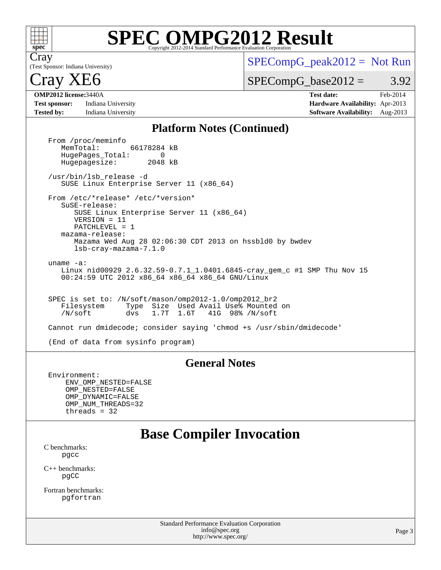

# **[SPEC OMPG2012 Result](http://www.spec.org/auto/omp2012/Docs/result-fields.html#SPECOMPG2012Result)**

(Test Sponsor: Indiana University) Cray

 $SPECompG_peak2012 = Not Run$  $SPECompG_peak2012 = Not Run$ 

 $SPECompG_base2012 = 3.92$  $SPECompG_base2012 = 3.92$ 

## ray XE6

**[Test sponsor:](http://www.spec.org/auto/omp2012/Docs/result-fields.html#Testsponsor)** Indiana University **[Hardware Availability:](http://www.spec.org/auto/omp2012/Docs/result-fields.html#HardwareAvailability)** Apr-2013 **[Tested by:](http://www.spec.org/auto/omp2012/Docs/result-fields.html#Testedby)** Indiana University **[Software Availability:](http://www.spec.org/auto/omp2012/Docs/result-fields.html#SoftwareAvailability)** Aug-2013

**[OMP2012 license:](http://www.spec.org/auto/omp2012/Docs/result-fields.html#OMP2012license)**3440A **[Test date:](http://www.spec.org/auto/omp2012/Docs/result-fields.html#Testdate)** Feb-2014

### **[Platform Notes \(Continued\)](http://www.spec.org/auto/omp2012/Docs/result-fields.html#PlatformNotes)**

From /proc/meminfo<br>MemTotal: 66178284 kB HugePages\_Total: 0<br>Hugepagesize: 2048 kB Hugepagesize: /usr/bin/lsb\_release -d SUSE Linux Enterprise Server 11 (x86\_64) From /etc/\*release\* /etc/\*version\* SuSE-release: SUSE Linux Enterprise Server 11 (x86\_64) VERSION = 11 PATCHLEVEL = 1 mazama-release: Mazama Wed Aug 28 02:06:30 CDT 2013 on hssbld0 by bwdev lsb-cray-mazama-7.1.0 uname -a: Linux nid00929 2.6.32.59-0.7.1\_1.0401.6845-cray\_gem\_c #1 SMP Thu Nov 15 00:24:59 UTC 2012 x86\_64 x86\_64 x86\_64 GNU/Linux SPEC is set to: /N/soft/mason/omp2012-1.0/omp2012\_br2 Filesystem Type Size Used Avail Use% Mounted on<br>
/N/soft dvs 1.7T 1.6T 41G 98% /N/soft /N/soft dvs 1.7T 1.6T 41G 98% /N/soft Cannot run dmidecode; consider saying 'chmod +s /usr/sbin/dmidecode' (End of data from sysinfo program)

### **[General Notes](http://www.spec.org/auto/omp2012/Docs/result-fields.html#GeneralNotes)**

 Environment: ENV\_OMP\_NESTED=FALSE OMP\_NESTED=FALSE OMP\_DYNAMIC=FALSE OMP\_NUM\_THREADS=32 threads = 32

## **[Base Compiler Invocation](http://www.spec.org/auto/omp2012/Docs/result-fields.html#BaseCompilerInvocation)**

[C benchmarks](http://www.spec.org/auto/omp2012/Docs/result-fields.html#Cbenchmarks): [pgcc](http://www.spec.org/omp2012/results/res2014q2/omp2012-20140415-00053.flags.html#user_CCbase_pgcc_l)

[C++ benchmarks:](http://www.spec.org/auto/omp2012/Docs/result-fields.html#CXXbenchmarks) [pgCC](http://www.spec.org/omp2012/results/res2014q2/omp2012-20140415-00053.flags.html#user_CXXbase_pgcpp_l_ab9852b71f93c2d78825bb6ac07dfa02)

[Fortran benchmarks](http://www.spec.org/auto/omp2012/Docs/result-fields.html#Fortranbenchmarks): [pgfortran](http://www.spec.org/omp2012/results/res2014q2/omp2012-20140415-00053.flags.html#user_FCbase_pgfortran_l)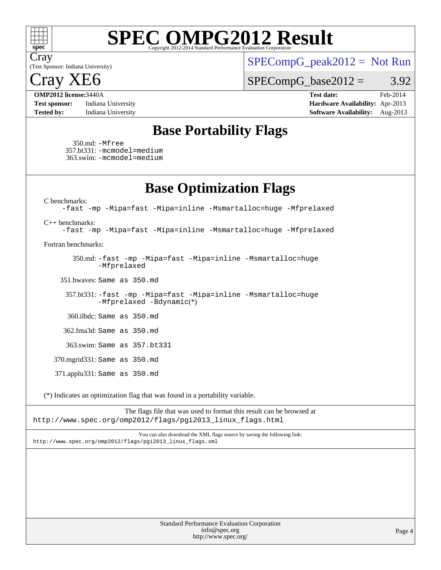

# **[SPEC OMPG2012 Result](http://www.spec.org/auto/omp2012/Docs/result-fields.html#SPECOMPG2012Result)**

(Test Sponsor: Indiana University) Cray

 $SPECompG_peak2012 = Not Run$  $SPECompG_peak2012 = Not Run$ 

 $\text{ray } 2$ 

 $SPECompG_base2012 = 3.92$  $SPECompG_base2012 = 3.92$ 

**[Test sponsor:](http://www.spec.org/auto/omp2012/Docs/result-fields.html#Testsponsor)** Indiana University **[Hardware Availability:](http://www.spec.org/auto/omp2012/Docs/result-fields.html#HardwareAvailability)** Apr-2013 **[Tested by:](http://www.spec.org/auto/omp2012/Docs/result-fields.html#Testedby)** Indiana University **[Software Availability:](http://www.spec.org/auto/omp2012/Docs/result-fields.html#SoftwareAvailability)** Aug-2013

**[OMP2012 license:](http://www.spec.org/auto/omp2012/Docs/result-fields.html#OMP2012license)**3440A **[Test date:](http://www.spec.org/auto/omp2012/Docs/result-fields.html#Testdate)** Feb-2014

### **[Base Portability Flags](http://www.spec.org/auto/omp2012/Docs/result-fields.html#BasePortabilityFlags)**

 350.md: [-Mfree](http://www.spec.org/omp2012/results/res2014q2/omp2012-20140415-00053.flags.html#user_baseFPORTABILITY350_md_Mfree) 357.bt331: [-mcmodel=medium](http://www.spec.org/omp2012/results/res2014q2/omp2012-20140415-00053.flags.html#user_basePORTABILITY357_bt331_mcmodel_medium) 363.swim: [-mcmodel=medium](http://www.spec.org/omp2012/results/res2014q2/omp2012-20140415-00053.flags.html#user_basePORTABILITY363_swim_mcmodel_medium)

**[Base Optimization Flags](http://www.spec.org/auto/omp2012/Docs/result-fields.html#BaseOptimizationFlags)**

[C benchmarks](http://www.spec.org/auto/omp2012/Docs/result-fields.html#Cbenchmarks):

[-fast](http://www.spec.org/omp2012/results/res2014q2/omp2012-20140415-00053.flags.html#user_CCbase_fast) [-mp](http://www.spec.org/omp2012/results/res2014q2/omp2012-20140415-00053.flags.html#user_CCbase_mp) [-Mipa=fast](http://www.spec.org/omp2012/results/res2014q2/omp2012-20140415-00053.flags.html#user_CCbase_Mipa_fast) [-Mipa=inline](http://www.spec.org/omp2012/results/res2014q2/omp2012-20140415-00053.flags.html#user_CCbase_Mipa_inline) [-Msmartalloc=huge](http://www.spec.org/omp2012/results/res2014q2/omp2012-20140415-00053.flags.html#user_CCbase_Msmartalloc_huge) [-Mfprelaxed](http://www.spec.org/omp2012/results/res2014q2/omp2012-20140415-00053.flags.html#user_CCbase_Mfprelaxed)

[C++ benchmarks:](http://www.spec.org/auto/omp2012/Docs/result-fields.html#CXXbenchmarks)

[-fast](http://www.spec.org/omp2012/results/res2014q2/omp2012-20140415-00053.flags.html#user_CXXbase_fast) [-mp](http://www.spec.org/omp2012/results/res2014q2/omp2012-20140415-00053.flags.html#user_CXXbase_mp) [-Mipa=fast](http://www.spec.org/omp2012/results/res2014q2/omp2012-20140415-00053.flags.html#user_CXXbase_Mipa_fast) [-Mipa=inline](http://www.spec.org/omp2012/results/res2014q2/omp2012-20140415-00053.flags.html#user_CXXbase_Mipa_inline) [-Msmartalloc=huge](http://www.spec.org/omp2012/results/res2014q2/omp2012-20140415-00053.flags.html#user_CXXbase_Msmartalloc_huge) [-Mfprelaxed](http://www.spec.org/omp2012/results/res2014q2/omp2012-20140415-00053.flags.html#user_CXXbase_Mfprelaxed)

[Fortran benchmarks](http://www.spec.org/auto/omp2012/Docs/result-fields.html#Fortranbenchmarks):

 350.md: [-fast](http://www.spec.org/omp2012/results/res2014q2/omp2012-20140415-00053.flags.html#user_baseFOPTIMIZE350_md_fast) [-mp](http://www.spec.org/omp2012/results/res2014q2/omp2012-20140415-00053.flags.html#user_baseFOPTIMIZE350_md_mp) [-Mipa=fast](http://www.spec.org/omp2012/results/res2014q2/omp2012-20140415-00053.flags.html#user_baseFOPTIMIZE350_md_Mipa_fast) [-Mipa=inline](http://www.spec.org/omp2012/results/res2014q2/omp2012-20140415-00053.flags.html#user_baseFOPTIMIZE350_md_Mipa_inline) [-Msmartalloc=huge](http://www.spec.org/omp2012/results/res2014q2/omp2012-20140415-00053.flags.html#user_baseFOPTIMIZE350_md_Msmartalloc_huge) [-Mfprelaxed](http://www.spec.org/omp2012/results/res2014q2/omp2012-20140415-00053.flags.html#user_baseFOPTIMIZE350_md_Mfprelaxed)

351.bwaves: Same as 350.md

 357.bt331: [-fast](http://www.spec.org/omp2012/results/res2014q2/omp2012-20140415-00053.flags.html#user_baseFOPTIMIZE357_bt331_fast) [-mp](http://www.spec.org/omp2012/results/res2014q2/omp2012-20140415-00053.flags.html#user_baseFOPTIMIZE357_bt331_mp) [-Mipa=fast](http://www.spec.org/omp2012/results/res2014q2/omp2012-20140415-00053.flags.html#user_baseFOPTIMIZE357_bt331_Mipa_fast) [-Mipa=inline](http://www.spec.org/omp2012/results/res2014q2/omp2012-20140415-00053.flags.html#user_baseFOPTIMIZE357_bt331_Mipa_inline) [-Msmartalloc=huge](http://www.spec.org/omp2012/results/res2014q2/omp2012-20140415-00053.flags.html#user_baseFOPTIMIZE357_bt331_Msmartalloc_huge) [-Mfprelaxed](http://www.spec.org/omp2012/results/res2014q2/omp2012-20140415-00053.flags.html#user_baseFOPTIMIZE357_bt331_Mfprelaxed) [-Bdynamic](http://www.spec.org/omp2012/results/res2014q2/omp2012-20140415-00053.flags.html#user_basePORTABILITY357_bt331_Bdynamic_lin_efca323a4d3f8193172eafd10b0cdb8c)(\*)

360.ilbdc: Same as 350.md

362.fma3d: Same as 350.md

363.swim: Same as 357.bt331

370.mgrid331: Same as 350.md

371.applu331: Same as 350.md

(\*) Indicates an optimization flag that was found in a portability variable.

The flags file that was used to format this result can be browsed at [http://www.spec.org/omp2012/flags/pgi2013\\_linux\\_flags.html](http://www.spec.org/omp2012/flags/pgi2013_linux_flags.html)

You can also download the XML flags source by saving the following link: [http://www.spec.org/omp2012/flags/pgi2013\\_linux\\_flags.xml](http://www.spec.org/omp2012/flags/pgi2013_linux_flags.xml)

> Standard Performance Evaluation Corporation [info@spec.org](mailto:info@spec.org) <http://www.spec.org/>